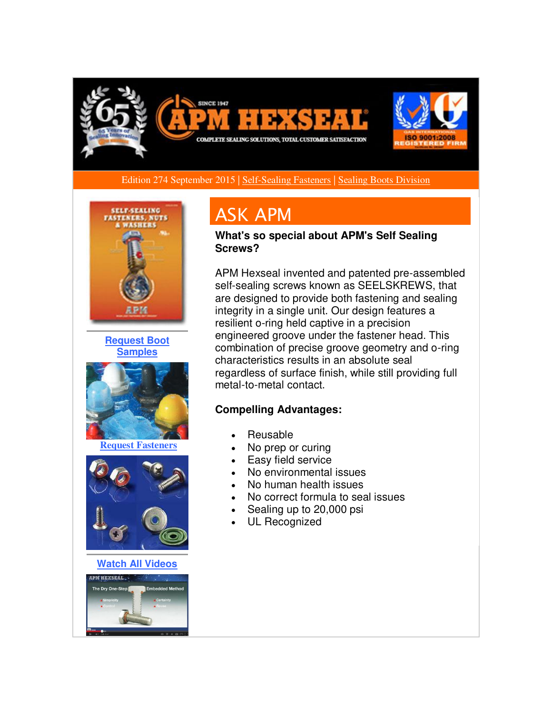

Edition 274 September 2015 [| Self-Sealing Fasteners](http://r20.rs6.net/tn.jsp?f=001lNyH1704rAZhszpULxYr6EJ6h3LnS8pa1YUlm9jMedb3Q9YRXvhLAxYUOPv5vq8W0PHyvMXQ9eevN57CAmohdc7GhsTEcs7mTLoKtXqKCXeOw4W-QVpjdFwvpaH-MEtmbOr73oCoM1pVr4YcCqZByZAqA1Cph0KuzhWQRgZ4iUfd4Mw-tesb9yMlwozCfExTw_lZrRIMtVbgb5EJkj30tblatfUK4C9m4cP7ZFKtd2Xyy0FGt_ULrKiTTq9jCG_2CjOkVLixSZAb52VJPODiSMH6xHCxh7iFjMJWZXvSh0SVLN12dEp78r_1ylgKHcrHUrh73091rMBezC0SzZ_g9-9Ev6CYEC1P&c=yleFRoGUpbzt88gT5l8bAVpabRXwTPwcJOB78L9lWjSZY8Bj2F1ehA==&ch=KVK_AK-6lXo8sBw3AwhdTiRjYCrjPrXbu-kNeZAYj6niG4IgjupydA==) | [Sealing Boots Division](http://r20.rs6.net/tn.jsp?f=001lNyH1704rAZhszpULxYr6EJ6h3LnS8pa1YUlm9jMedb3Q9YRXvhLA0SB7gmKPCU2qAmAPBhgZ0gekNSGcMWPskvrXQA_b7o9PvzD8ghuiwGPYc0sShhThjkoctrI_fiFx8VZifFFC5UDiAqqaY1hrP-USB8ZuNvWJSCIFpiFDvq_xoEMUDOVIQDmYMJKE1R81yA1xxhl9_h0ZYgvNYtwWV4YG4Bec8qaQVxwnRZXKyE-bLd5ZHF8gFT6oB_tqN0uqkjf-cFDIpOQu_Isy9dq9qWdx2T0XEcqXrAKDVnhS-QnyM8KAxGfNLl6pW4owjjsKZNjpp_3jBV9_Z_JZGYAZlvlWnnA4LK8&c=yleFRoGUpbzt88gT5l8bAVpabRXwTPwcJOB78L9lWjSZY8Bj2F1ehA==&ch=KVK_AK-6lXo8sBw3AwhdTiRjYCrjPrXbu-kNeZAYj6niG4IgjupydA==) 



**[Request Boot](http://r20.rs6.net/tn.jsp?f=001lNyH1704rAZhszpULxYr6EJ6h3LnS8pa1YUlm9jMedb3Q9YRXvhLAxYUOPv5vq8WLxA77zFmUqHzca25z96h3PSQNc--HVzS5ntigm7T4DJp7qc-_R5fQktYNHM5fI7CITbCYZHzI76n05bSGHrVvCpfqIiIBMVeao9pJiB2UMlEdTWK3W9VewEwlb_gm1K064c-fjX8iBU5YV3q5b-VJfmwalbkmUZ4PCchrQsrJm7HJbpuJRtEtfHWnhgRTmsyjdz-EVjVD4pAcP9b8lef-9Rntf0JPtPgIyT8-ibaT1KY0dacNC7KjQKRhCKmoIJqQ2gR4-Ypx7w=&c=yleFRoGUpbzt88gT5l8bAVpabRXwTPwcJOB78L9lWjSZY8Bj2F1ehA==&ch=KVK_AK-6lXo8sBw3AwhdTiRjYCrjPrXbu-kNeZAYj6niG4IgjupydA==)  [Samples](http://r20.rs6.net/tn.jsp?f=001lNyH1704rAZhszpULxYr6EJ6h3LnS8pa1YUlm9jMedb3Q9YRXvhLAxYUOPv5vq8WLxA77zFmUqHzca25z96h3PSQNc--HVzS5ntigm7T4DJp7qc-_R5fQktYNHM5fI7CITbCYZHzI76n05bSGHrVvCpfqIiIBMVeao9pJiB2UMlEdTWK3W9VewEwlb_gm1K064c-fjX8iBU5YV3q5b-VJfmwalbkmUZ4PCchrQsrJm7HJbpuJRtEtfHWnhgRTmsyjdz-EVjVD4pAcP9b8lef-9Rntf0JPtPgIyT8-ibaT1KY0dacNC7KjQKRhCKmoIJqQ2gR4-Ypx7w=&c=yleFRoGUpbzt88gT5l8bAVpabRXwTPwcJOB78L9lWjSZY8Bj2F1ehA==&ch=KVK_AK-6lXo8sBw3AwhdTiRjYCrjPrXbu-kNeZAYj6niG4IgjupydA==)**



**[Request Fasteners](http://r20.rs6.net/tn.jsp?f=001lNyH1704rAZhszpULxYr6EJ6h3LnS8pa1YUlm9jMedb3Q9YRXvhLAyTJGvwEx2j5LIQOpLSwL6_5XVrmNrrdf1sQzitplcKqesp-bMTJo9Es_4h5e8hrv27OUxUTZCp4tI9hz41hI7wtaC0Dkeox_mwEtGbWClMebV0uF2JYepEftFMvYpsbDAxn28AD9h8bddU4Q_tQLHut1P1m9dGlYFZ_4PD04gsas8LDU07eFfnhijP3CKChkEdDccPTBH6Dhx3Hn27lacOIFS9us7LfUk6ZCowxgv6Si2ZXCR56CKYvZ4glNW58Iw==&c=yleFRoGUpbzt88gT5l8bAVpabRXwTPwcJOB78L9lWjSZY8Bj2F1ehA==&ch=KVK_AK-6lXo8sBw3AwhdTiRjYCrjPrXbu-kNeZAYj6niG4IgjupydA==)**



**[Watch All Videos](http://r20.rs6.net/tn.jsp?f=001lNyH1704rAZhszpULxYr6EJ6h3LnS8pa1YUlm9jMedb3Q9YRXvhLAyTJGvwEx2j5Gg2-BM0KTlLCNvhd--JHCLCblmBBVpRd-q9b3h_vLE-Y9So7j-MaogC_tyGcFtHLb8pDDXDLoVuCceCksk8YKBJI63DIe0fVR0-PjO2uzw_F5ZgbSf10nBLoBuuFJAtdj0P_iQXr1YiQ37Ey25riiBtO9rzFwYgxQBJ-jrkfIyiUKkaGooYhF_p7BF1gCLQ5prAjT2BKB5wb78pQVc1CwB7umv5Rhxwp9zoYTPoRaRk=&c=yleFRoGUpbzt88gT5l8bAVpabRXwTPwcJOB78L9lWjSZY8Bj2F1ehA==&ch=KVK_AK-6lXo8sBw3AwhdTiRjYCrjPrXbu-kNeZAYj6niG4IgjupydA==)**



# ASK APM

**What's so special about APM's Self Sealing Screws?**

APM Hexseal invented and patented pre-assembled self-sealing screws known as SEELSKREWS, that are designed to provide both fastening and sealing integrity in a single unit. Our design features a resilient o-ring held captive in a precision engineered groove under the fastener head. This combination of precise groove geometry and o-ring characteristics results in an absolute seal regardless of surface finish, while still providing full metal-to-metal contact.

### **Compelling Advantages:**

- Reusable
- No prep or curing
- Easy field service
- No environmental issues
- No human health issues
- No correct formula to seal issues
- Sealing up to 20,000 psi
- UL Recognized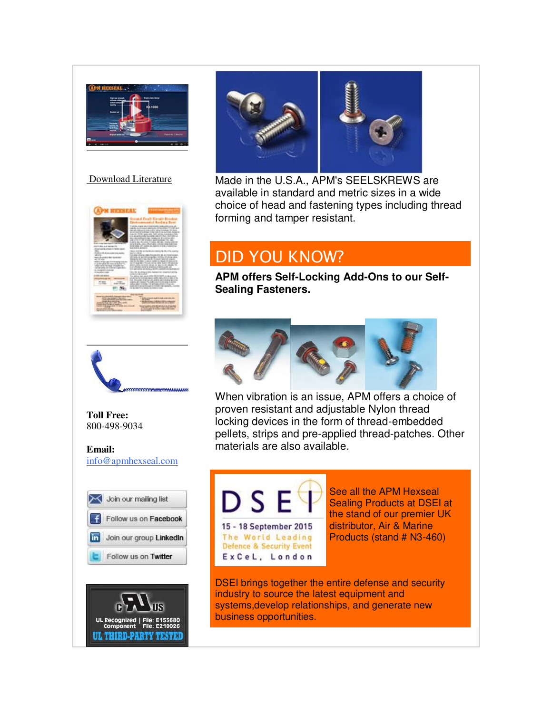

#### [Download Literature](http://r20.rs6.net/tn.jsp?f=001lNyH1704rAZhszpULxYr6EJ6h3LnS8pa1YUlm9jMedb3Q9YRXvhLAxYUOPv5vq8WP5bkXHP97WTs5gTEwdmT_1rV6VeHMRvsujAEpBYpfb_FdWnOdqP9pAjZ3g9LoYBD0IBCx6nc44F9ylGWdOWFK-m_Zt6z4YYMYCghTE7pxDKHLHqc1miO4g1dQFSynGkt6wSgQzCGpoMF_it9K1GrWJzlx8BNbgBXZL9Fj7isezmDoH4ExYOXKYnOtAYQu1A3ZDbDAlhjf3euUQLRSaCt_KBMHEio48TfjukxVVzEUfpzURCb_LlWBca6c8TsaNKQmABjx0REyCE=&c=yleFRoGUpbzt88gT5l8bAVpabRXwTPwcJOB78L9lWjSZY8Bj2F1ehA==&ch=KVK_AK-6lXo8sBw3AwhdTiRjYCrjPrXbu-kNeZAYj6niG4IgjupydA==)





**Toll Free:**  800-498-9034

#### **Email:** [info@apmhexseal.com](mailto:info@apmhexseal.com)







Made in the U.S.A., APM's SEELSKREWS are available in standard and metric sizes in a wide choice of head and fastening types including thread forming and tamper resistant.

## DID YOU KNOW?

**APM offers Self-Locking Add-Ons to our Self-Sealing Fasteners.** 



When vibration is an issue, APM offers a choice of proven resistant and adjustable Nylon thread locking devices in the form of thread-embedded pellets, strips and pre-applied thread-patches. Other materials are also available.



ExCeL, London

See all the APM Hexseal Sealing Products at DSEI at the stand of our premier UK distributor, Air & Marine Products (stand # N3-460)

DSEI brings together the entire defense and security industry to source the latest equipment and systems,develop relationships, and generate new business opportunities.